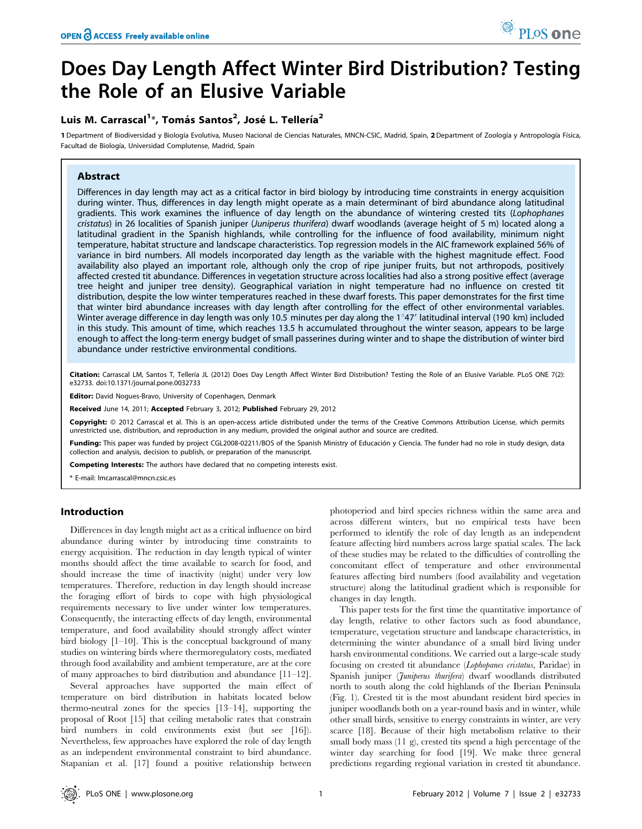# Does Day Length Affect Winter Bird Distribution? Testing the Role of an Elusive Variable

## Luis M. Carrascal<sup>1</sup>\*, Tomás Santos<sup>2</sup>, José L. Tellería<sup>2</sup>

1 Department of Biodiversidad y Biología Evolutiva, Museo Nacional de Ciencias Naturales, MNCN-CSIC, Madrid, Spain, 2 Department of Zoología y Antropología Física, Facultad de Biología, Universidad Complutense, Madrid, Spain

## Abstract

Differences in day length may act as a critical factor in bird biology by introducing time constraints in energy acquisition during winter. Thus, differences in day length might operate as a main determinant of bird abundance along latitudinal gradients. This work examines the influence of day length on the abundance of wintering crested tits (Lophophanes cristatus) in 26 localities of Spanish juniper (Juniperus thurifera) dwarf woodlands (average height of 5 m) located along a latitudinal gradient in the Spanish highlands, while controlling for the influence of food availability, minimum night temperature, habitat structure and landscape characteristics. Top regression models in the AIC framework explained 56% of variance in bird numbers. All models incorporated day length as the variable with the highest magnitude effect. Food availability also played an important role, although only the crop of ripe juniper fruits, but not arthropods, positively affected crested tit abundance. Differences in vegetation structure across localities had also a strong positive effect (average tree height and juniper tree density). Geographical variation in night temperature had no influence on crested tit distribution, despite the low winter temperatures reached in these dwarf forests. This paper demonstrates for the first time that winter bird abundance increases with day length after controlling for the effect of other environmental variables. Winter average difference in day length was only 10.5 minutes per day along the  $1^{\circ}47'$  latitudinal interval (190 km) included in this study. This amount of time, which reaches 13.5 h accumulated throughout the winter season, appears to be large enough to affect the long-term energy budget of small passerines during winter and to shape the distribution of winter bird abundance under restrictive environmental conditions.

Citation: Carrascal LM, Santos T, Tellería JL (2012) Does Day Length Affect Winter Bird Distribution? Testing the Role of an Elusive Variable. PLoS ONE 7(2): e32733. doi:10.1371/journal.pone.0032733

Editor: David Nogues-Bravo, University of Copenhagen, Denmark

Received June 14, 2011; Accepted February 3, 2012; Published February 29, 2012

Copyright: © 2012 Carrascal et al. This is an open-access article distributed under the terms of the Creative Commons Attribution License, which permits unrestricted use, distribution, and reproduction in any medium, provided the original author and source are credited.

Funding: This paper was funded by project CGL2008-02211/BOS of the Spanish Ministry of Educación y Ciencia. The funder had no role in study design, data collection and analysis, decision to publish, or preparation of the manuscript.

Competing Interests: The authors have declared that no competing interests exist.

\* E-mail: lmcarrascal@mncn.csic.es

## Introduction

Differences in day length might act as a critical influence on bird abundance during winter by introducing time constraints to energy acquisition. The reduction in day length typical of winter months should affect the time available to search for food, and should increase the time of inactivity (night) under very low temperatures. Therefore, reduction in day length should increase the foraging effort of birds to cope with high physiological requirements necessary to live under winter low temperatures. Consequently, the interacting effects of day length, environmental temperature, and food availability should strongly affect winter bird biology [1–10]. This is the conceptual background of many studies on wintering birds where thermoregulatory costs, mediated through food availability and ambient temperature, are at the core of many approaches to bird distribution and abundance [11–12].

Several approaches have supported the main effect of temperature on bird distribution in habitats located below thermo-neutral zones for the species [13–14], supporting the proposal of Root [15] that ceiling metabolic rates that constrain bird numbers in cold environments exist (but see [16]). Nevertheless, few approaches have explored the role of day length as an independent environmental constraint to bird abundance. Stapanian et al. [17] found a positive relationship between

photoperiod and bird species richness within the same area and across different winters, but no empirical tests have been performed to identify the role of day length as an independent feature affecting bird numbers across large spatial scales. The lack of these studies may be related to the difficulties of controlling the concomitant effect of temperature and other environmental features affecting bird numbers (food availability and vegetation structure) along the latitudinal gradient which is responsible for changes in day length.

This paper tests for the first time the quantitative importance of day length, relative to other factors such as food abundance, temperature, vegetation structure and landscape characteristics, in determining the winter abundance of a small bird living under harsh environmental conditions. We carried out a large-scale study focusing on crested tit abundance (Lophopanes cristatus, Paridae) in Spanish juniper (Juniperus thurifera) dwarf woodlands distributed north to south along the cold highlands of the Iberian Peninsula (Fig. 1). Crested tit is the most abundant resident bird species in juniper woodlands both on a year-round basis and in winter, while other small birds, sensitive to energy constraints in winter, are very scarce [18]. Because of their high metabolism relative to their small body mass (11 g), crested tits spend a high percentage of the winter day searching for food [19]. We make three general predictions regarding regional variation in crested tit abundance.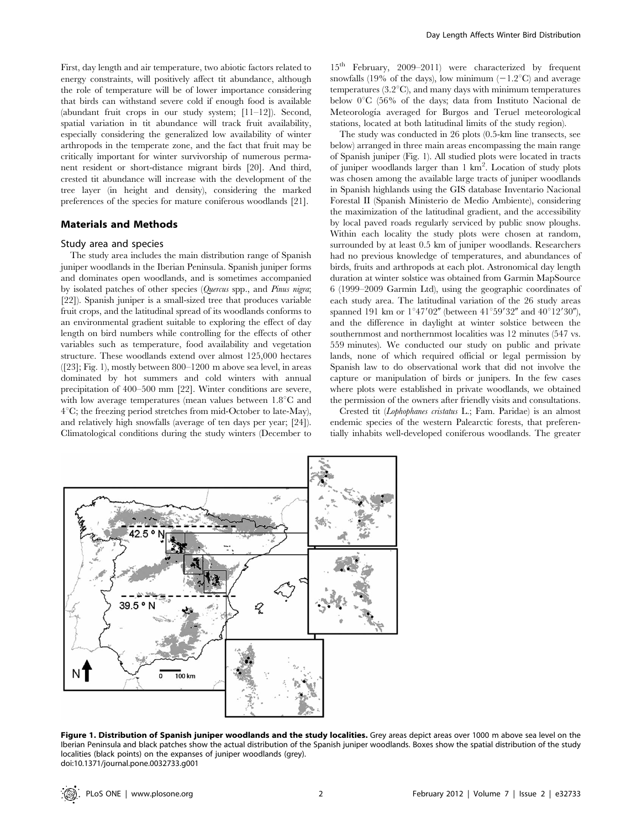First, day length and air temperature, two abiotic factors related to energy constraints, will positively affect tit abundance, although the role of temperature will be of lower importance considering that birds can withstand severe cold if enough food is available (abundant fruit crops in our study system; [11–12]). Second, spatial variation in tit abundance will track fruit availability, especially considering the generalized low availability of winter arthropods in the temperate zone, and the fact that fruit may be critically important for winter survivorship of numerous permanent resident or short-distance migrant birds [20]. And third, crested tit abundance will increase with the development of the tree layer (in height and density), considering the marked preferences of the species for mature coniferous woodlands [21].

## Materials and Methods

## Study area and species

The study area includes the main distribution range of Spanish juniper woodlands in the Iberian Peninsula. Spanish juniper forms and dominates open woodlands, and is sometimes accompanied by isolated patches of other species (Quercus spp., and Pinus nigra; [22]). Spanish juniper is a small-sized tree that produces variable fruit crops, and the latitudinal spread of its woodlands conforms to an environmental gradient suitable to exploring the effect of day length on bird numbers while controlling for the effects of other variables such as temperature, food availability and vegetation structure. These woodlands extend over almost 125,000 hectares ([23]; Fig. 1), mostly between 800–1200 m above sea level, in areas dominated by hot summers and cold winters with annual precipitation of 400–500 mm [22]. Winter conditions are severe, with low average temperatures (mean values between  $1.8^{\circ}$ C and  $4^{\circ}$ C; the freezing period stretches from mid-October to late-May), and relatively high snowfalls (average of ten days per year; [24]). Climatological conditions during the study winters (December to

15th February, 2009–2011) were characterized by frequent snowfalls (19% of the days), low minimum  $(-1.2^{\circ}C)$  and average temperatures  $(3.2^{\circ}\text{C})$ , and many days with minimum temperatures below  $0^{\circ}$ C (56% of the days; data from Instituto Nacional de Meteorología averaged for Burgos and Teruel meteorological stations, located at both latitudinal limits of the study region).

The study was conducted in 26 plots (0.5-km line transects, see below) arranged in three main areas encompassing the main range of Spanish juniper (Fig. 1). All studied plots were located in tracts of juniper woodlands larger than 1 km<sup>2</sup>. Location of study plots was chosen among the available large tracts of juniper woodlands in Spanish highlands using the GIS database Inventario Nacional Forestal II (Spanish Ministerio de Medio Ambiente), considering the maximization of the latitudinal gradient, and the accessibility by local paved roads regularly serviced by public snow ploughs. Within each locality the study plots were chosen at random, surrounded by at least 0.5 km of juniper woodlands. Researchers had no previous knowledge of temperatures, and abundances of birds, fruits and arthropods at each plot. Astronomical day length duration at winter solstice was obtained from Garmin MapSource 6 (1999–2009 Garmin Ltd), using the geographic coordinates of each study area. The latitudinal variation of the 26 study areas spanned 191 km or  $1^{\circ}47'02''$  (between  $41^{\circ}59'32''$  and  $40^{\circ}12'30''$ ), and the difference in daylight at winter solstice between the southernmost and northernmost localities was 12 minutes (547 vs. 559 minutes). We conducted our study on public and private lands, none of which required official or legal permission by Spanish law to do observational work that did not involve the capture or manipulation of birds or junipers. In the few cases where plots were established in private woodlands, we obtained the permission of the owners after friendly visits and consultations.

Crested tit (Lophophanes cristatus L.; Fam. Paridae) is an almost endemic species of the western Palearctic forests, that preferentially inhabits well-developed coniferous woodlands. The greater



Figure 1. Distribution of Spanish juniper woodlands and the study localities. Grey areas depict areas over 1000 m above sea level on the Iberian Peninsula and black patches show the actual distribution of the Spanish juniper woodlands. Boxes show the spatial distribution of the study localities (black points) on the expanses of juniper woodlands (grey). doi:10.1371/journal.pone.0032733.g001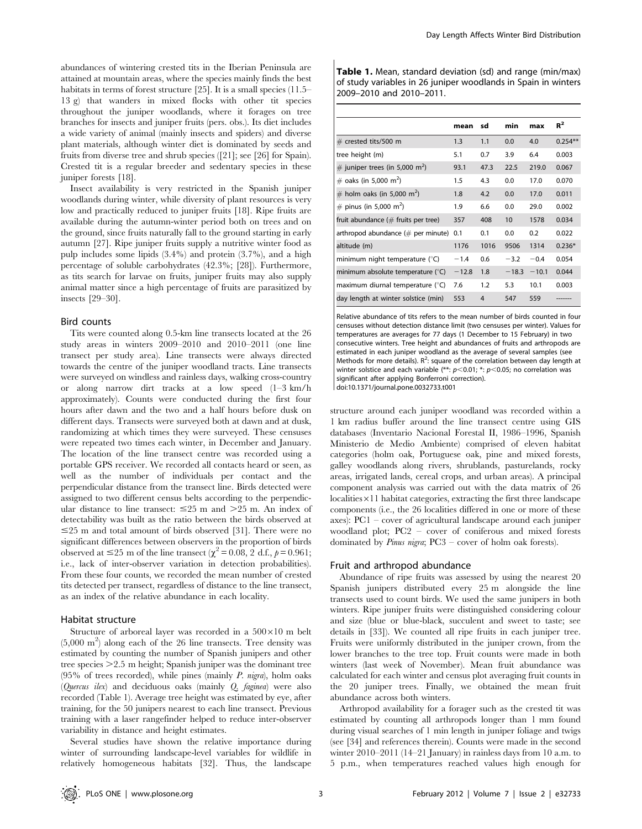abundances of wintering crested tits in the Iberian Peninsula are attained at mountain areas, where the species mainly finds the best habitats in terms of forest structure [25]. It is a small species (11.5– 13 g) that wanders in mixed flocks with other tit species throughout the juniper woodlands, where it forages on tree branches for insects and juniper fruits (pers. obs.). Its diet includes a wide variety of animal (mainly insects and spiders) and diverse plant materials, although winter diet is dominated by seeds and fruits from diverse tree and shrub species ([21]; see [26] for Spain). Crested tit is a regular breeder and sedentary species in these juniper forests [18].

Insect availability is very restricted in the Spanish juniper woodlands during winter, while diversity of plant resources is very low and practically reduced to juniper fruits [18]. Ripe fruits are available during the autumn-winter period both on trees and on the ground, since fruits naturally fall to the ground starting in early autumn [27]. Ripe juniper fruits supply a nutritive winter food as pulp includes some lipids (3.4%) and protein (3.7%), and a high percentage of soluble carbohydrates (42.3%; [28]). Furthermore, as tits search for larvae on fruits, juniper fruits may also supply animal matter since a high percentage of fruits are parasitized by insects [29–30].

## Bird counts

Tits were counted along 0.5-km line transects located at the 26 study areas in winters 2009–2010 and 2010–2011 (one line transect per study area). Line transects were always directed towards the centre of the juniper woodland tracts. Line transects were surveyed on windless and rainless days, walking cross-country or along narrow dirt tracks at a low speed (1–3 km/h approximately). Counts were conducted during the first four hours after dawn and the two and a half hours before dusk on different days. Transects were surveyed both at dawn and at dusk, randomizing at which times they were surveyed. These censuses were repeated two times each winter, in December and January. The location of the line transect centre was recorded using a portable GPS receiver. We recorded all contacts heard or seen, as well as the number of individuals per contact and the perpendicular distance from the transect line. Birds detected were assigned to two different census belts according to the perpendicular distance to line transect:  $\leq 25$  m and  $> 25$  m. An index of detectability was built as the ratio between the birds observed at  $\leq$ 25 m and total amount of birds observed [31]. There were no significant differences between observers in the proportion of birds observed at  $\leq$ 25 m of the line transect ( $\chi^2$  = 0.08, 2 d.f.,  $p$  = 0.961; i.e., lack of inter-observer variation in detection probabilities). From these four counts, we recorded the mean number of crested tits detected per transect, regardless of distance to the line transect, as an index of the relative abundance in each locality.

#### Habitat structure

Structure of arboreal layer was recorded in a  $500\times10$  m belt  $(5,000 \text{ m}^2)$  along each of the 26 line transects. Tree density was estimated by counting the number of Spanish junipers and other tree species  $\geq$  2.5 m height; Spanish juniper was the dominant tree  $(95\%$  of trees recorded), while pines (mainly P. nigra), holm oaks (Quercus ilex) and deciduous oaks (mainly Q. faginea) were also recorded (Table 1). Average tree height was estimated by eye, after training, for the 50 junipers nearest to each line transect. Previous training with a laser rangefinder helped to reduce inter-observer variability in distance and height estimates.

Several studies have shown the relative importance during winter of surrounding landscape-level variables for wildlife in relatively homogeneous habitats [32]. Thus, the landscape

Table 1. Mean, standard deviation (sd) and range (min/max) of study variables in 26 juniper woodlands in Spain in winters 2009–2010 and 2010–2011.

|                                            | mean    | sd             | min     | max     | $R^2$     |
|--------------------------------------------|---------|----------------|---------|---------|-----------|
| $#$ crested tits/500 m                     | 1.3     | 1.1            | 0.0     | 4.0     | $0.254**$ |
| tree height (m)                            | 5.1     | 0.7            | 3.9     | 6.4     | 0.003     |
| # juniper trees (in 5,000 m <sup>2</sup> ) | 93.1    | 47.3           | 22.5    | 219.0   | 0.067     |
| # oaks (in 5,000 m <sup>2</sup> )          | 1.5     | 4.3            | 0.0     | 17.0    | 0.070     |
| # holm oaks (in 5,000 m <sup>2</sup> )     | 1.8     | 4.2            | 0.0     | 17.0    | 0.011     |
| # pinus (in 5,000 m <sup>2</sup> )         | 1.9     | 6.6            | 0.0     | 29.0    | 0.002     |
| fruit abundance $(\#$ fruits per tree)     | 357     | 408            | 10      | 1578    | 0.034     |
| arthropod abundance $(\#$ per minute)      | 0.1     | 0.1            | 0.0     | 0.2     | 0.022     |
| altitude (m)                               | 1176    | 1016           | 9506    | 1314    | $0.236*$  |
| minimum night temperature (°C)             | $-1.4$  | 06             | $-3.2$  | $-0.4$  | 0.054     |
| minimum absolute temperature (°C)          | $-12.8$ | 1.8            | $-18.3$ | $-10.1$ | 0.044     |
| maximum diurnal temperature (°C)           | 7.6     | 1.2            | 5.3     | 10.1    | 0.003     |
| day length at winter solstice (min)        | 553     | $\overline{4}$ | 547     | 559     |           |

Relative abundance of tits refers to the mean number of birds counted in four censuses without detection distance limit (two censuses per winter). Values for temperatures are averages for 77 days (1 December to 15 February) in two consecutive winters. Tree height and abundances of fruits and arthropods are estimated in each juniper woodland as the average of several samples (see Methods for more details).  $R^2$ : square of the correlation between day length at winter solstice and each variable  $(**. p<0.01; *: p<0.05;$  no correlation was significant after applying Bonferroni correction). doi:10.1371/journal.pone.0032733.t001

structure around each juniper woodland was recorded within a 1 km radius buffer around the line transect centre using GIS databases (Inventario Nacional Forestal II, 1986–1996, Spanish Ministerio de Medio Ambiente) comprised of eleven habitat categories (holm oak, Portuguese oak, pine and mixed forests, galley woodlands along rivers, shrublands, pasturelands, rocky areas, irrigated lands, cereal crops, and urban areas). A principal component analysis was carried out with the data matrix of 26  $localities \times11$  habitat categories, extracting the first three landscape components (i.e., the 26 localities differed in one or more of these axes): PC1 – cover of agricultural landscape around each juniper woodland plot; PC2 – cover of coniferous and mixed forests dominated by Pinus nigra; PC3 – cover of holm oak forests).

#### Fruit and arthropod abundance

Abundance of ripe fruits was assessed by using the nearest 20 Spanish junipers distributed every 25 m alongside the line transects used to count birds. We used the same junipers in both winters. Ripe juniper fruits were distinguished considering colour and size (blue or blue-black, succulent and sweet to taste; see details in [33]). We counted all ripe fruits in each juniper tree. Fruits were uniformly distributed in the juniper crown, from the lower branches to the tree top. Fruit counts were made in both winters (last week of November). Mean fruit abundance was calculated for each winter and census plot averaging fruit counts in the 20 juniper trees. Finally, we obtained the mean fruit abundance across both winters.

Arthropod availability for a forager such as the crested tit was estimated by counting all arthropods longer than 1 mm found during visual searches of 1 min length in juniper foliage and twigs (see [34] and references therein). Counts were made in the second winter 2010–2011 (14–21 January) in rainless days from 10 a.m. to 5 p.m., when temperatures reached values high enough for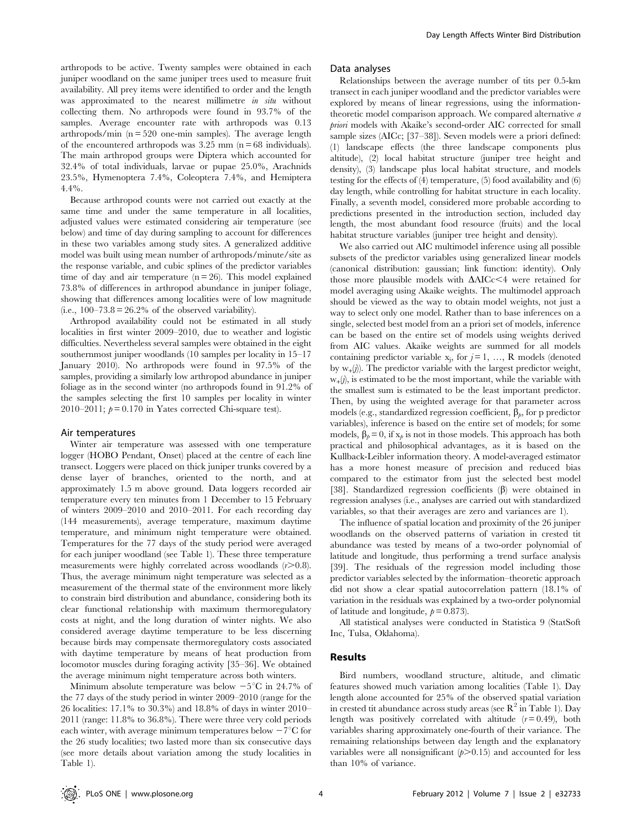arthropods to be active. Twenty samples were obtained in each juniper woodland on the same juniper trees used to measure fruit availability. All prey items were identified to order and the length was approximated to the nearest millimetre *in situ* without collecting them. No arthropods were found in 93.7% of the samples. Average encounter rate with arthropods was 0.13 arthropods/min  $(n = 520$  one-min samples). The average length of the encountered arthropods was  $3.25$  mm (n = 68 individuals). The main arthropod groups were Diptera which accounted for 32.4% of total individuals, larvae or pupae 25.0%, Arachnids 23.5%, Hymenoptera 7.4%, Coleoptera 7.4%, and Hemiptera 4.4%.

Because arthropod counts were not carried out exactly at the same time and under the same temperature in all localities, adjusted values were estimated considering air temperature (see below) and time of day during sampling to account for differences in these two variables among study sites. A generalized additive model was built using mean number of arthropods/minute/site as the response variable, and cubic splines of the predictor variables time of day and air temperature  $(n = 26)$ . This model explained 73.8% of differences in arthropod abundance in juniper foliage, showing that differences among localities were of low magnitude (i.e.,  $100-73.8 = 26.2\%$  of the observed variability).

Arthropod availability could not be estimated in all study localities in first winter 2009–2010, due to weather and logistic difficulties. Nevertheless several samples were obtained in the eight southernmost juniper woodlands (10 samples per locality in 15–17 January 2010). No arthropods were found in 97.5% of the samples, providing a similarly low arthropod abundance in juniper foliage as in the second winter (no arthropods found in 91.2% of the samples selecting the first 10 samples per locality in winter 2010–2011;  $p = 0.170$  in Yates corrected Chi-square test).

#### Air temperatures

Winter air temperature was assessed with one temperature logger (HOBO Pendant, Onset) placed at the centre of each line transect. Loggers were placed on thick juniper trunks covered by a dense layer of branches, oriented to the north, and at approximately 1.5 m above ground. Data loggers recorded air temperature every ten minutes from 1 December to 15 February of winters 2009–2010 and 2010–2011. For each recording day (144 measurements), average temperature, maximum daytime temperature, and minimum night temperature were obtained. Temperatures for the 77 days of the study period were averaged for each juniper woodland (see Table 1). These three temperature measurements were highly correlated across woodlands  $(r>0.8)$ . Thus, the average minimum night temperature was selected as a measurement of the thermal state of the environment more likely to constrain bird distribution and abundance, considering both its clear functional relationship with maximum thermoregulatory costs at night, and the long duration of winter nights. We also considered average daytime temperature to be less discerning because birds may compensate thermoregulatory costs associated with daytime temperature by means of heat production from locomotor muscles during foraging activity [35–36]. We obtained the average minimum night temperature across both winters.

Minimum absolute temperature was below  $-5^{\circ}\text{C}$  in 24.7% of the 77 days of the study period in winter 2009–2010 (range for the 26 localities: 17.1% to 30.3%) and 18.8% of days in winter 2010– 2011 (range: 11.8% to 36.8%). There were three very cold periods each winter, with average minimum temperatures below  $-7^{\circ}$ C for the 26 study localities; two lasted more than six consecutive days (see more details about variation among the study localities in Table 1).

#### Data analyses

Relationships between the average number of tits per 0.5-km transect in each juniper woodland and the predictor variables were explored by means of linear regressions, using the informationtheoretic model comparison approach. We compared alternative a priori models with Akaike's second-order AIC corrected for small sample sizes (AICc; [37–38]). Seven models were a priori defined: (1) landscape effects (the three landscape components plus altitude), (2) local habitat structure (juniper tree height and density), (3) landscape plus local habitat structure, and models testing for the effects of (4) temperature, (5) food availability and (6) day length, while controlling for habitat structure in each locality. Finally, a seventh model, considered more probable according to predictions presented in the introduction section, included day length, the most abundant food resource (fruits) and the local habitat structure variables (juniper tree height and density).

We also carried out AIC multimodel inference using all possible subsets of the predictor variables using generalized linear models (canonical distribution: gaussian; link function: identity). Only those more plausible models with  $\Delta AICc \leq 4$  were retained for model averaging using Akaike weights. The multimodel approach should be viewed as the way to obtain model weights, not just a way to select only one model. Rather than to base inferences on a single, selected best model from an a priori set of models, inference can be based on the entire set of models using weights derived from AIC values. Akaike weights are summed for all models containing predictor variable  $x_j$ , for  $j = 1, ..., R$  models (denoted by  $w_{+}(j)$ . The predictor variable with the largest predictor weight,  $w_{+}(j)$ , is estimated to be the most important, while the variable with the smallest sum is estimated to be the least important predictor. Then, by using the weighted average for that parameter across models (e.g., standardized regression coefficient,  $\beta_{\ell}$ , for p predictor variables), inference is based on the entire set of models; for some models,  $\beta_b = 0$ , if  $x_b$  is not in those models. This approach has both practical and philosophical advantages, as it is based on the Kullback-Leibler information theory. A model-averaged estimator has a more honest measure of precision and reduced bias compared to the estimator from just the selected best model [38]. Standardized regression coefficients  $(\beta)$  were obtained in regression analyses (i.e., analyses are carried out with standardized variables, so that their averages are zero and variances are 1).

The influence of spatial location and proximity of the 26 juniper woodlands on the observed patterns of variation in crested tit abundance was tested by means of a two-order polynomial of latitude and longitude, thus performing a trend surface analysis [39]. The residuals of the regression model including those predictor variables selected by the information–theoretic approach did not show a clear spatial autocorrelation pattern (18.1% of variation in the residuals was explained by a two-order polynomial of latitude and longitude,  $p = 0.873$ .

All statistical analyses were conducted in Statistica 9 (StatSoft Inc, Tulsa, Oklahoma).

## Results

Bird numbers, woodland structure, altitude, and climatic features showed much variation among localities (Table 1). Day length alone accounted for 25% of the observed spatial variation in crested tit abundance across study areas (see  $R^2$  in Table 1). Day length was positively correlated with altitude  $(r= 0.49)$ , both variables sharing approximately one-fourth of their variance. The remaining relationships between day length and the explanatory variables were all nonsignificant  $(p>0.15)$  and accounted for less than 10% of variance.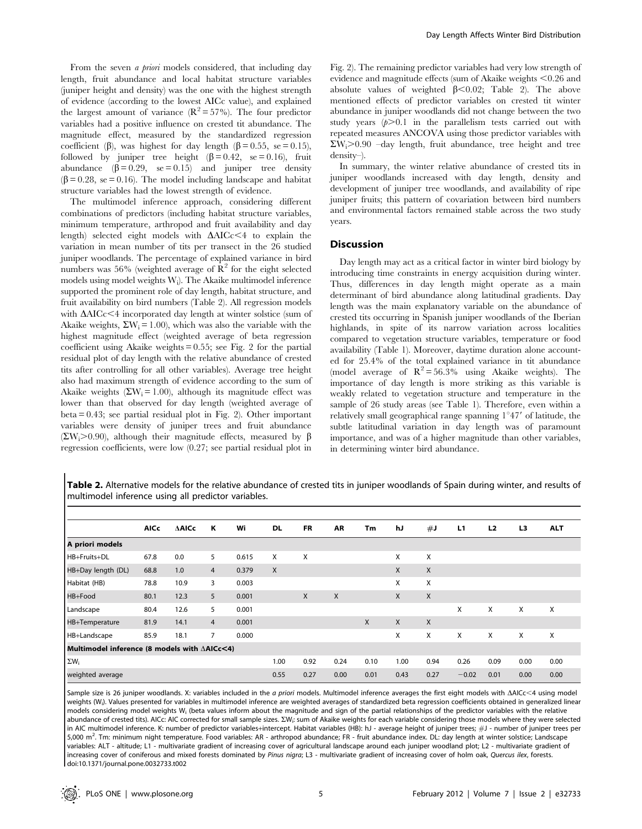From the seven *a priori* models considered, that including day length, fruit abundance and local habitat structure variables (juniper height and density) was the one with the highest strength of evidence (according to the lowest AICc value), and explained the largest amount of variance  $(R^2 = 57\%)$ . The four predictor variables had a positive influence on crested tit abundance. The magnitude effect, measured by the standardized regression coefficient ( $\beta$ ), was highest for day length ( $\beta$  = 0.55, se = 0.15), followed by juniper tree height  $(\beta = 0.42, \text{ se } = 0.16)$ , fruit abundance  $(\beta = 0.29, \text{ se } = 0.15)$  and juniper tree density  $(\beta = 0.28, \text{ se } = 0.16)$ . The model including landscape and habitat structure variables had the lowest strength of evidence.

The multimodel inference approach, considering different combinations of predictors (including habitat structure variables, minimum temperature, arthropod and fruit availability and day length) selected eight models with  $\Delta AICc \leq 4$  to explain the variation in mean number of tits per transect in the 26 studied juniper woodlands. The percentage of explained variance in bird numbers was 56% (weighted average of  $\mathbb{R}^2$  for the eight selected models using model weights Wi). The Akaike multimodel inference supported the prominent role of day length, habitat structure, and fruit availability on bird numbers (Table 2). All regression models with  $\Delta AICc \leq 4$  incorporated day length at winter solstice (sum of Akaike weights,  $\Sigma W_i = 1.00$ ), which was also the variable with the highest magnitude effect (weighted average of beta regression coefficient using Akaike weights = 0.55; see Fig. 2 for the partial residual plot of day length with the relative abundance of crested tits after controlling for all other variables). Average tree height also had maximum strength of evidence according to the sum of Akaike weights  $(\Sigma W_i = 1.00)$ , although its magnitude effect was lower than that observed for day length (weighted average of beta = 0.43; see partial residual plot in Fig. 2). Other important variables were density of juniper trees and fruit abundance  $(\Sigma W_i > 0.90)$ , although their magnitude effects, measured by  $\beta$ regression coefficients, were low (0.27; see partial residual plot in Fig. 2). The remaining predictor variables had very low strength of evidence and magnitude effects (sum of Akaike weights <0.26 and absolute values of weighted  $\beta$ <0.02; Table 2). The above mentioned effects of predictor variables on crested tit winter abundance in juniper woodlands did not change between the two study years  $(p>0.1$  in the parallelism tests carried out with repeated measures ANCOVA using those predictor variables with  $\Sigma W_i > 0.90$  –day length, fruit abundance, tree height and tree density–).

In summary, the winter relative abundance of crested tits in juniper woodlands increased with day length, density and development of juniper tree woodlands, and availability of ripe juniper fruits; this pattern of covariation between bird numbers and environmental factors remained stable across the two study years.

## **Discussion**

Day length may act as a critical factor in winter bird biology by introducing time constraints in energy acquisition during winter. Thus, differences in day length might operate as a main determinant of bird abundance along latitudinal gradients. Day length was the main explanatory variable on the abundance of crested tits occurring in Spanish juniper woodlands of the Iberian highlands, in spite of its narrow variation across localities compared to vegetation structure variables, temperature or food availability (Table 1). Moreover, daytime duration alone accounted for 25.4% of the total explained variance in tit abundance (model average of  $R^2 = 56.3\%$  using Akaike weights). The importance of day length is more striking as this variable is weakly related to vegetation structure and temperature in the sample of 26 study areas (see Table 1). Therefore, even within a relatively small geographical range spanning  $1°47'$  of latitude, the subtle latitudinal variation in day length was of paramount importance, and was of a higher magnitude than other variables, in determining winter bird abundance.

Table 2. Alternative models for the relative abundance of crested tits in juniper woodlands of Spain during winter, and results of multimodel inference using all predictor variables.

|                                              | <b>AICc</b> | <b>AAICc</b> | к | Wi    | DL   | FR           | AR   | Tm   | hJ   | #J                        | L1      | L <sub>2</sub> | L3   | <b>ALT</b> |
|----------------------------------------------|-------------|--------------|---|-------|------|--------------|------|------|------|---------------------------|---------|----------------|------|------------|
| A priori models                              |             |              |   |       |      |              |      |      |      |                           |         |                |      |            |
| HB+Fruits+DL                                 | 67.8        | 0.0          | 5 | 0.615 | X    | X            |      |      | X    | X                         |         |                |      |            |
| HB+Day length (DL)                           | 68.8        | 1.0          | 4 | 0.379 | X    |              |      |      | X    | $\boldsymbol{\mathsf{X}}$ |         |                |      |            |
| Habitat (HB)                                 | 78.8        | 10.9         | 3 | 0.003 |      |              |      |      | X    | X                         |         |                |      |            |
| HB+Food                                      | 80.1        | 12.3         | 5 | 0.001 |      | $\mathsf{X}$ | X    |      | X    | X                         |         |                |      |            |
| Landscape                                    | 80.4        | 12.6         | 5 | 0.001 |      |              |      |      |      |                           | X       | X              | X    | X          |
| HB+Temperature                               | 81.9        | 14.1         | 4 | 0.001 |      |              |      | X    | X    | $\boldsymbol{X}$          |         |                |      |            |
| HB+Landscape                                 | 85.9        | 18.1         | 7 | 0.000 |      |              |      |      | X    | X                         | X       | X              | X    | X          |
| Multimodel inference (8 models with AAICc<4) |             |              |   |       |      |              |      |      |      |                           |         |                |      |            |
| $\Sigma W_i$                                 |             |              |   |       | 1.00 | 0.92         | 0.24 | 0.10 | 1.00 | 0.94                      | 0.26    | 0.09           | 0.00 | 0.00       |
| weighted average                             |             |              |   |       | 0.55 | 0.27         | 0.00 | 0.01 | 0.43 | 0.27                      | $-0.02$ | 0.01           | 0.00 | 0.00       |

Sample size is 26 juniper woodlands. X: variables included in the a priori models. Multimodel inference averages the first eight models with  $\Delta$ AICc<4 using model weights (W<sub>i</sub>). Values presented for variables in multimodel inference are weighted averages of standardized beta regression coefficients obtained in generalized linear models considering model weights W<sub>i</sub> (beta values inform about the magnitude and sign of the partial relationships of the predictor variables with the relative abundance of crested tits). AICc: AIC corrected for small sample sizes.  $\Sigma \mathsf{W}_{\mathsf{i}}$ : sum of Akaike weights for each variable considering those models where they were selected in AIC multimodel inference. K: number of predictor variables+intercept. Habitat variables (HB): hJ - average height of juniper trees; #J - number of juniper trees per 5,000 m<sup>2</sup>. Tm: minimum night temperature. Food variables: AR - arthropod abundance; FR - fruit abundance index. DL: day length at winter solstice; Landscape variables: ALT - altitude; L1 - multivariate gradient of increasing cover of agricultural landscape around each juniper woodland plot; L2 - multivariate gradient of increasing cover of coniferous and mixed forests dominated by Pinus nigra; L3 - multivariate gradient of increasing cover of holm oak, Quercus ilex, forests. doi:10.1371/journal.pone.0032733.t002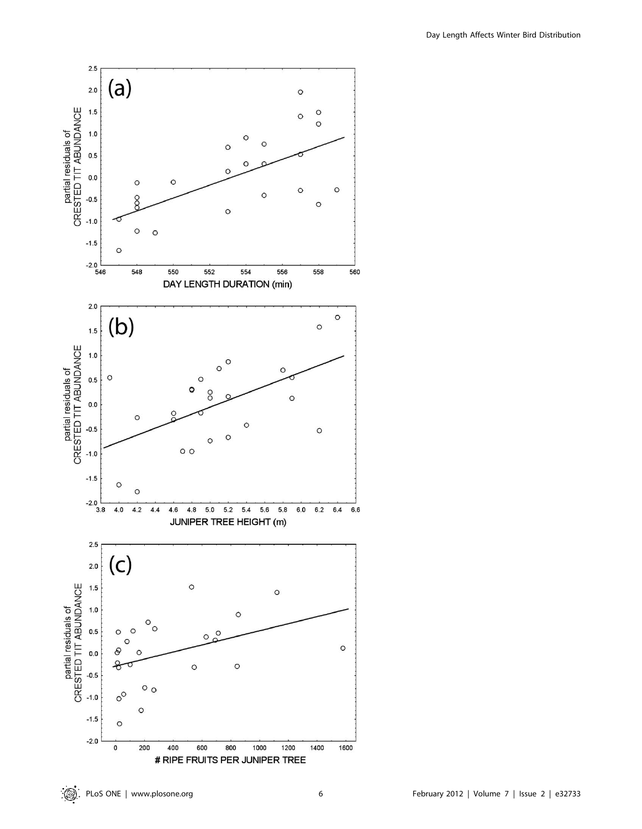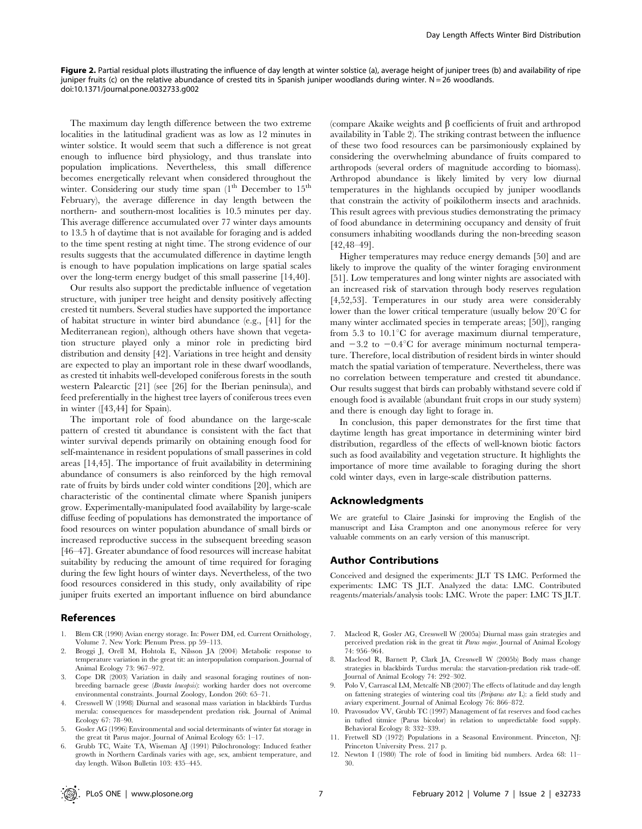Figure 2. Partial residual plots illustrating the influence of day length at winter solstice (a), average height of juniper trees (b) and availability of ripe juniper fruits (c) on the relative abundance of crested tits in Spanish juniper woodlands during winter.  $N = 26$  woodlands. doi:10.1371/journal.pone.0032733.g002

The maximum day length difference between the two extreme localities in the latitudinal gradient was as low as 12 minutes in winter solstice. It would seem that such a difference is not great enough to influence bird physiology, and thus translate into population implications. Nevertheless, this small difference becomes energetically relevant when considered throughout the winter. Considering our study time span  $(1<sup>th</sup>$  December to  $15<sup>th</sup>$ February), the average difference in day length between the northern- and southern-most localities is 10.5 minutes per day. This average difference accumulated over 77 winter days amounts to 13.5 h of daytime that is not available for foraging and is added to the time spent resting at night time. The strong evidence of our results suggests that the accumulated difference in daytime length is enough to have population implications on large spatial scales over the long-term energy budget of this small passerine [14,40].

Our results also support the predictable influence of vegetation structure, with juniper tree height and density positively affecting crested tit numbers. Several studies have supported the importance of habitat structure in winter bird abundance (e.g., [41] for the Mediterranean region), although others have shown that vegetation structure played only a minor role in predicting bird distribution and density [42]. Variations in tree height and density are expected to play an important role in these dwarf woodlands, as crested tit inhabits well-developed coniferous forests in the south western Palearctic [21] (see [26] for the Iberian peninsula), and feed preferentially in the highest tree layers of coniferous trees even in winter ([43,44] for Spain).

The important role of food abundance on the large-scale pattern of crested tit abundance is consistent with the fact that winter survival depends primarily on obtaining enough food for self-maintenance in resident populations of small passerines in cold areas [14,45]. The importance of fruit availability in determining abundance of consumers is also reinforced by the high removal rate of fruits by birds under cold winter conditions [20], which are characteristic of the continental climate where Spanish junipers grow. Experimentally-manipulated food availability by large-scale diffuse feeding of populations has demonstrated the importance of food resources on winter population abundance of small birds or increased reproductive success in the subsequent breeding season [46–47]. Greater abundance of food resources will increase habitat suitability by reducing the amount of time required for foraging during the few light hours of winter days. Nevertheless, of the two food resources considered in this study, only availability of ripe juniper fruits exerted an important influence on bird abundance

#### References

- 1. Blem CR (1990) Avian energy storage. In: Power DM, ed. Current Ornithology, Volume 7. New York: Plenum Press. pp 59–113.
- 2. Broggi J, Orell M, Hohtola E, Nilsson JA (2004) Metabolic response to temperature variation in the great tit: an interpopulation comparison. Journal of Animal Ecology 73: 967–972.
- 3. Cope DR (2003) Variation in daily and seasonal foraging routines of nonbreeding barnacle geese (Branta leucopsis): working harder does not overcome environmental constraints. Journal Zoology, London 260: 65–71.
- 4. Cresswell W (1998) Diurnal and seasonal mass variation in blackbirds Turdus merula: consequences for massdependent predation risk. Journal of Animal Ecology 67: 78–90.
- 5. Gosler AG (1996) Environmental and social determinants of winter fat storage in the great tit Parus major. Journal of Animal Ecology 65: 1–17.
- 6. Grubb TC, Waite TA, Wiseman AJ (1991) Ptilochronology: Induced feather growth in Northern Cardinals varies with age, sex, ambient temperature, and day length. Wilson Bulletin 103: 435–445.

(compare Akaike weights and  $\beta$  coefficients of fruit and arthropod availability in Table 2). The striking contrast between the influence of these two food resources can be parsimoniously explained by considering the overwhelming abundance of fruits compared to arthropods (several orders of magnitude according to biomass). Arthropod abundance is likely limited by very low diurnal temperatures in the highlands occupied by juniper woodlands that constrain the activity of poikilotherm insects and arachnids. This result agrees with previous studies demonstrating the primacy of food abundance in determining occupancy and density of fruit consumers inhabiting woodlands during the non-breeding season [42,48–49].

Higher temperatures may reduce energy demands [50] and are likely to improve the quality of the winter foraging environment [51]. Low temperatures and long winter nights are associated with an increased risk of starvation through body reserves regulation [4,52,53]. Temperatures in our study area were considerably lower than the lower critical temperature (usually below  $20^{\circ}$ C for many winter acclimated species in temperate areas; [50]), ranging from 5.3 to  $10.1^{\circ}$ C for average maximum diurnal temperature, and  $-3.2$  to  $-0.4$ °C for average minimum nocturnal temperature. Therefore, local distribution of resident birds in winter should match the spatial variation of temperature. Nevertheless, there was no correlation between temperature and crested tit abundance. Our results suggest that birds can probably withstand severe cold if enough food is available (abundant fruit crops in our study system) and there is enough day light to forage in.

In conclusion, this paper demonstrates for the first time that daytime length has great importance in determining winter bird distribution, regardless of the effects of well-known biotic factors such as food availability and vegetation structure. It highlights the importance of more time available to foraging during the short cold winter days, even in large-scale distribution patterns.

## Acknowledgments

We are grateful to Claire Jasinski for improving the English of the manuscript and Lisa Crampton and one anonymous referee for very valuable comments on an early version of this manuscript.

#### Author Contributions

Conceived and designed the experiments: JLT TS LMC. Performed the experiments: LMC TS JLT. Analyzed the data: LMC. Contributed reagents/materials/analysis tools: LMC. Wrote the paper: LMC TS JLT.

- 7. Macleod R, Gosler AG, Cresswell W (2005a) Diurnal mass gain strategies and perceived predation risk in the great tit Parus major. Journal of Animal Ecology 74: 956–964.
- 8. Macleod R, Barnett P, Clark JA, Cresswell W (2005b) Body mass change strategies in blackbirds Turdus merula: the starvation-predation risk trade-off. Journal of Animal Ecology 74: 292–302.
- 9. Polo V, Carrascal LM, Metcalfe NB (2007) The effects of latitude and day length on fattening strategies of wintering coal tits (Periparus ater L): a field study and aviary experiment. Journal of Animal Ecology 76: 866–872.
- 10. Pravosudov VV, Grubb TC (1997) Management of fat reserves and food caches in tufted titmice (Parus bicolor) in relation to unpredictable food supply. Behavioral Ecology 8: 332–339.
- 11. Fretwell SD (1972) Populations in a Seasonal Environment. Princeton, NJ: Princeton University Press. 217 p.
- 12. Newton I (1980) The role of food in limiting bid numbers. Ardea 68: 11– 30.